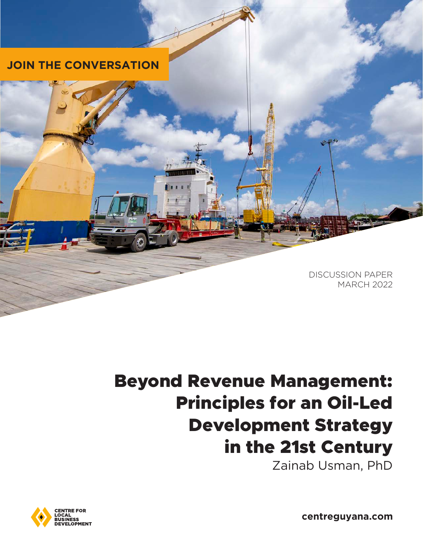

### Beyond Revenue Management: Principles for an Oil-Led Development Strategy in the 21st Century Zainab Usman, PhD



**centreguyana.com**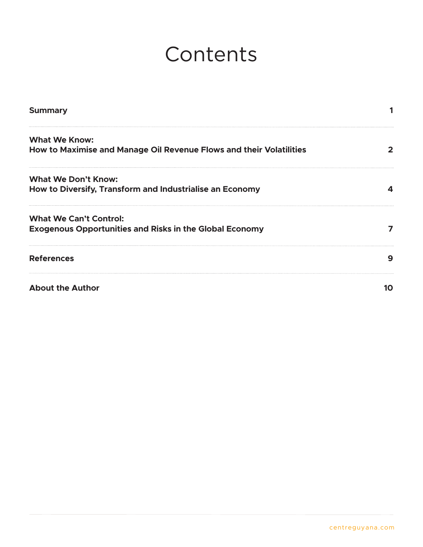# Contents

| <b>Summary</b>                                                                                  |   |
|-------------------------------------------------------------------------------------------------|---|
| <b>What We Know:</b><br>How to Maximise and Manage Oil Revenue Flows and their Volatilities     |   |
| <b>What We Don't Know:</b><br>How to Diversify, Transform and Industrialise an Economy          |   |
| <b>What We Can't Control:</b><br><b>Exogenous Opportunities and Risks in the Global Economy</b> |   |
| <b>References</b>                                                                               | 9 |
| <b>About the Author</b>                                                                         |   |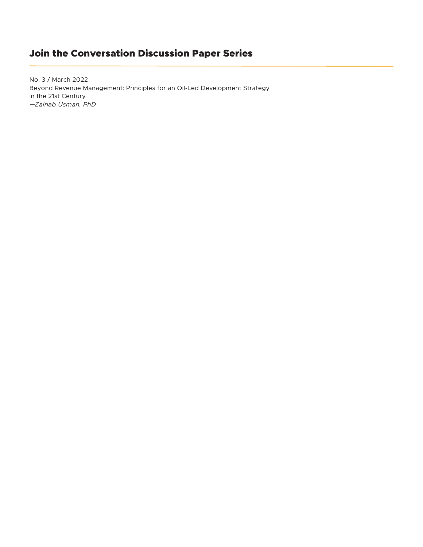### Join the Conversation Discussion Paper Series

No. 3 / March 2022 Beyond Revenue Management: Principles for an Oil-Led Development Strategy in the 21st Century *—Zainab Usman, PhD*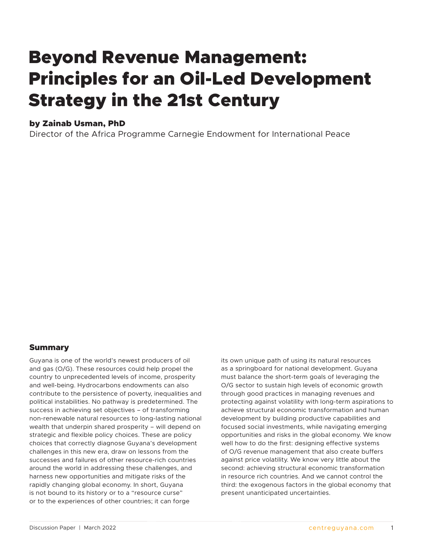## <span id="page-4-0"></span>Beyond Revenue Management: Principles for an Oil-Led Development Strategy in the 21st Century

#### by Zainab Usman, PhD

Director of the Africa Programme Carnegie Endowment for International Peace

#### Summary

Guyana is one of the world's newest producers of oil and gas (O/G). These resources could help propel the country to unprecedented levels of income, prosperity and well-being. Hydrocarbons endowments can also contribute to the persistence of poverty, inequalities and political instabilities. No pathway is predetermined. The success in achieving set objectives – of transforming non-renewable natural resources to long-lasting national wealth that underpin shared prosperity – will depend on strategic and flexible policy choices. These are policy choices that correctly diagnose Guyana's development challenges in this new era, draw on lessons from the successes and failures of other resource-rich countries around the world in addressing these challenges, and harness new opportunities and mitigate risks of the rapidly changing global economy. In short, Guyana is not bound to its history or to a "resource curse" or to the experiences of other countries; it can forge

its own unique path of using its natural resources as a springboard for national development. Guyana must balance the short-term goals of leveraging the O/G sector to sustain high levels of economic growth through good practices in managing revenues and protecting against volatility with long-term aspirations to achieve structural economic transformation and human development by building productive capabilities and focused social investments, while navigating emerging opportunities and risks in the global economy. We know well how to do the first: designing effective systems of O/G revenue management that also create buffers against price volatility. We know very little about the second: achieving structural economic transformation in resource rich countries. And we cannot control the third: the exogenous factors in the global economy that present unanticipated uncertainties.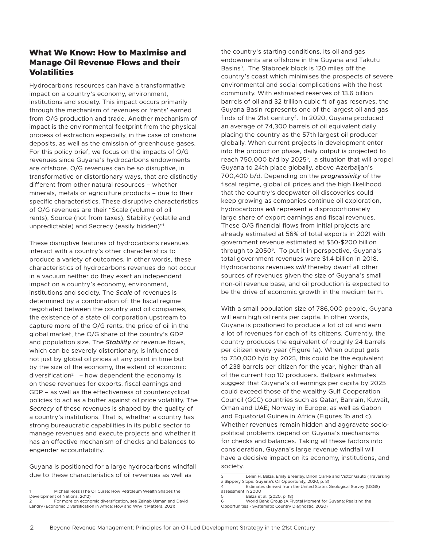#### <span id="page-5-0"></span>What We Know: How to Maximise and Manage Oil Revenue Flows and their Volatilities

Hydrocarbons resources can have a transformative impact on a country's economy, environment, institutions and society. This impact occurs primarily through the mechanism of revenues or 'rents' earned from O/G production and trade. Another mechanism of impact is the environmental footprint from the physical process of extraction especially, in the case of onshore deposits, as well as the emission of greenhouse gases. For this policy brief, we focus on the impacts of O/G revenues since Guyana's hydrocarbons endowments are offshore. O/G revenues can be so disruptive, in transformative or distortionary ways, that are distinctly different from other natural resources – whether minerals, metals or agriculture products – due to their specific characteristics. These disruptive characteristics of O/G revenues are their "Scale (volume of oil rents), Source (not from taxes), Stability (volatile and unpredictable) and Secrecy (easily hidden)"1 .

These disruptive features of hydrocarbons revenues interact with a country's other characteristics to produce a variety of outcomes. In other words, these characteristics of hydrocarbons revenues do not occur in a vacuum neither do they exert an independent impact on a country's economy, environment, institutions and society. The *Scale* of revenues is determined by a combination of: the fiscal regime negotiated between the country and oil companies, the existence of a state oil corporation upstream to capture more of the O/G rents, the price of oil in the global market, the O/G share of the country's GDP and population size. The *Stability* of revenue flows, which can be severely distortionary, is influenced not just by global oil prices at any point in time but by the size of the economy, the extent of economic diversification<sup>2</sup> – how dependent the economy is on these revenues for exports, fiscal earnings and GDP – as well as the effectiveness of countercyclical policies to act as a buffer against oil price volatility. The *Secrecy* of these revenues is shaped by the quality of a country's institutions. That is, whether a country has strong bureaucratic capabilities in its public sector to manage revenues and execute projects and whether it has an effective mechanism of checks and balances to engender accountability.

Guyana is positioned for a large hydrocarbons windfall due to these characteristics of oil revenues as well as

2 For more on economic diversification, see Zainab Usman and David Landry (Economic Diversification in Africa: How and Why it Matters, 2021)

the country's starting conditions. Its oil and gas endowments are offshore in the Guyana and Takutu Basins<sup>3</sup>. The Stabroek block is 120 miles off the country's coast which minimises the prospects of severe environmental and social complications with the host community. With estimated reserves of 13.6 billion barrels of oil and 32 trillion cubic ft of gas reserves, the Guyana Basin represents one of the largest oil and gas finds of the 21st century<sup>4</sup>. In 2020, Guyana produced an average of 74,300 barrels of oil equivalent daily placing the country as the 57th largest oil producer globally. When current projects in development enter into the production phase, daily output is projected to reach 750,000 b/d by 2025<sup>5</sup>, a situation that will propel Guyana to 24th place globally, above Azerbaijan's 700,400 b/d. Depending on the *progressivity* of the fiscal regime, global oil prices and the high likelihood that the country's deepwater oil discoveries could keep growing as companies continue oil exploration, hydrocarbons *will* represent a disproportionately large share of export earnings and fiscal revenues. These O/G financial flows from initial projects are already estimated at 56% of total exports in 2021 with government revenue estimated at \$50-\$200 billion through to 2050<sup>6</sup>. To put it in perspective, Guyana's total government revenues were \$1.4 billion in 2018. Hydrocarbons revenues *will* thereby dwarf all other sources of revenues given the size of Guyana's small non-oil revenue base, and oil production is expected to be the drive of economic growth in the medium term.

With a small population size of 786,000 people, Guyana will earn high oil rents per capita. In other words, Guyana is positioned to produce a lot of oil and earn a lot of revenues for each of its citizens. Currently, the country produces the equivalent of roughly 24 barrels per citizen every year (Figure 1a). When output gets to 750,000 b/d by 2025, this could be the equivalent of 238 barrels per citizen for the year, higher than all of the current top 10 producers. Ballpark estimates suggest that Guyana's oil earnings per capita by 2025 could exceed those of the wealthy Gulf Cooperation Council (GCC) countries such as Qatar, Bahrain, Kuwait, Oman and UAE; Norway in Europe; as well as Gabon and Equatorial Guinea in Africa (Figures 1b and c). Whether revenues remain hidden and aggravate sociopolitical problems depend on Guyana's mechanisms for checks and balances. Taking all these factors into consideration, Guyana's large revenue windfall will have a decisive impact on its economy, institutions, and society.

Michael Ross (The Oil Curse: How Petroleum Wealth Shapes the Development of Nations, 2012)

<sup>3</sup> Lenin H. Balza, Emily Brearley, Dillon Clarke and Victor Gauto (Traversing a Slippery Slope: Guyana's Oil Opportunity, 2020, p. 8)

Estimates derived from the United States Geological Survey (USGS) assessment in 2000

<sup>5</sup> Balza et al. (2020, p. 18)

World Bank Group (A Pivotal Moment for Guyana: Realizing the Opportunities - Systematic Country Diagnostic, 2020)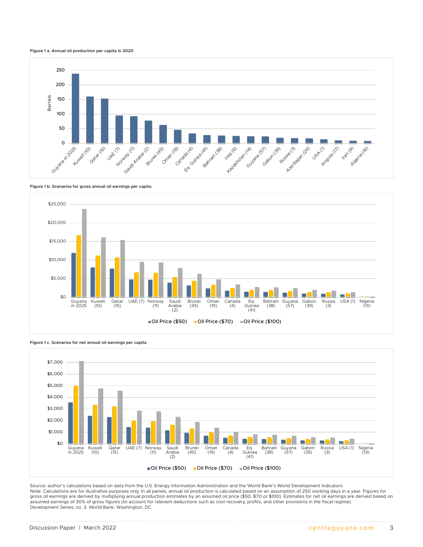



**Figure 1 b. Scenarios for gross annual oil earnings per capita** \$30,000



**Figure 1 c. Scenarios for net annual oil earnings per capita**



Source: author's calculations based on data from the U.S. Energy Information Administration and the World Bank's World Development Indicators Note: Calculations are for illustrative purposes only. In all panels, annual oil production is calculated based on an assumption of 250 working days in a year. Figures for gross oil earnings are derived by multiplying annual production estimates by an assumed oil price (\$50, \$70 or \$100). Estimates for net oil earnings are derived based on assumed earnings of 30% of gross figures (to account for relevant deductions such as cost recovery, profits, and other provisions in the fiscal regime). Development Series; no. 3. World Bank, Washington, DC.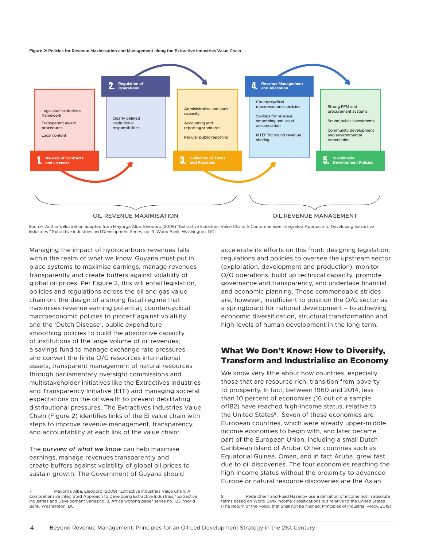<span id="page-7-0"></span>**Figure 2: Policies for Revenue Maximisation and Management along the Extractive Industries Value Chain** 



Source: Author's illustration adapted from Mayorga Alba, Eleodoro (2009) "Extractive Industries Value Chain: A Comprehensive Integrated Approach to Developing Extractive Industries." Extractive industries and Development Series; no. 3. World Bank, Washington, DC.

Managing the impact of hydrocarbons revenues falls within the realm of what we know. Guyana must put in place systems to maximise earnings, manage revenues transparently and create buffers against volatility of global oil prices. Per Figure 2, this will entail legislation, policies and regulations across the oil and gas value chain on: the design of a strong fiscal regime that maximises revenue earning potential; countercyclical macroeconomic policies to protect against volatility and the 'Dutch Disease', public expenditure smoothing policies to build the absorptive capacity of institutions of the large volume of oil revenues; a savings fund to manage exchange rate pressures and convert the finite O/G resources into national assets; transparent management of natural resources through parliamentary oversight commissions and multistakeholder initiatives like the Extractives Industries and Transparency Initiative (EITI) and managing societal expectations on the oil wealth to prevent debilitating distributional pressures. The Extractives Industries Value Chain (Figure 2) identifies links of the EI value chain with steps to improve revenue management, transparency, and accountability at each link of the value chain<sup>7</sup>.

The *purview of what we know* can help maximise earnings, manage revenues transparently and create buffers against volatility of global oil prices to sustain growth. The Government of Guyana should

accelerate its efforts on this front: designing legislation, regulations and policies to oversee the upstream sector (exploration, development and production), monitor O/G operations, build up technical capacity, promote governance and transparency, and undertake financial and economic planning. These commendable strides are, however, insufficient to position the O/G sector as a springboard for national development – to achieving economic diversification, structural transformation and high-levels of human development in the long term.

#### What We Don't Know: How to Diversify, Transform and Industrialise an Economy

We know very little about how countries, especially those that are resource-rich, transition from poverty to prosperity. In fact, between 1960 and 2014, less than 10 percent of economies (16 out of a sample of182) have reached high-income status, relative to the United States<sup>8</sup>. Seven of these economies are European countries, which were already upper-middle income economies to begin with, and later became part of the European Union, including a small Dutch Caribbean Island of Aruba. Other countries such as Equatorial Guinea, Oman, and in fact Aruba, grew fast due to oil discoveries. The four economies reaching the high-income status without the proximity to advanced Europe or natural resource discoveries are the Asian

<sup>7</sup> Mayorga Alba, Eleodoro (2009) "Extractive Industries Value Chain: A Comprehensive Integrated Approach to Developing Extractive Industries." Extractive industries and Development Series;no. 3. Africa working paper series no. 125. World Bank, Washington, DC

<sup>8</sup> Reda Cherif and Fuad Hasanov use a definition of income not in absolute terms based on World Bank income classifications but relative to the United States (The Return of the Policy that Shall not be Named: Principles of Industrial Policy, 2019)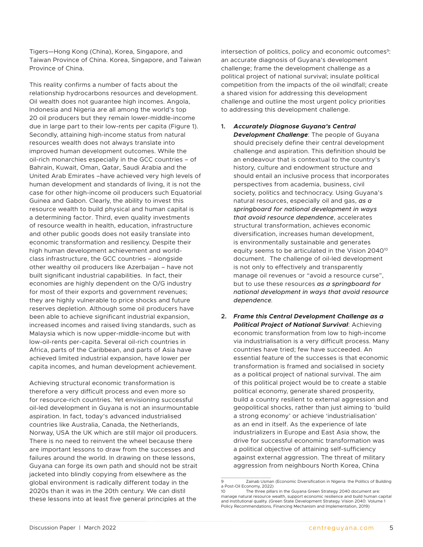Tigers—Hong Kong (China), Korea, Singapore, and Taiwan Province of China. Korea, Singapore, and Taiwan Province of China.

This reality confirms a number of facts about the relationship hydrocarbons resources and development. Oil wealth does not guarantee high incomes. Angola, Indonesia and Nigeria are all among the world's top 20 oil producers but they remain lower-middle-income due in large part to their low-rents per capita (Figure 1). Secondly, attaining high-income status from natural resources wealth does not always translate into improved human development outcomes. While the oil-rich monarchies especially in the GCC countries – of Bahrain, Kuwait, Oman, Qatar, Saudi Arabia and the United Arab Emirates –have achieved very high levels of human development and standards of living, it is not the case for other high-income oil producers such Equatorial Guinea and Gabon. Clearly, the ability to invest this resource wealth to build physical and human capital is a determining factor. Third, even quality investments of resource wealth in health, education, infrastructure and other public goods does not easily translate into economic transformation and resiliency. Despite their high human development achievement and worldclass infrastructure, the GCC countries – alongside other wealthy oil producers like Azerbaijan – have not built significant industrial capabilities. In fact, their economies are highly dependent on the O/G industry for most of their exports and government revenues; they are highly vulnerable to price shocks and future reserves depletion. Although some oil producers have been able to achieve significant industrial expansion, increased incomes and raised living standards, such as Malaysia which is now upper-middle-income but with low-oil-rents per-capita. Several oil-rich countries in Africa, parts of the Caribbean, and parts of Asia have achieved limited industrial expansion, have lower per capita incomes, and human development achievement.

Achieving structural economic transformation is therefore a very difficult process and even more so for resource-rich countries. Yet envisioning successful oil-led development in Guyana is not an insurmountable aspiration. In fact, today's advanced industrialised countries like Australia, Canada, the Netherlands, Norway, USA the UK which are still major oil producers. There is no need to reinvent the wheel because there are important lessons to draw from the successes and failures around the world. In drawing on these lessons, Guyana can forge its own path and should not be strait jacketed into blindly copying from elsewhere as the global environment is radically different today in the 2020s than it was in the 20th century. We can distil these lessons into at least five general principles at the

intersection of politics, policy and economic outcomes<sup>9</sup>: an accurate diagnosis of Guyana's development challenge; frame the development challenge as a political project of national survival; insulate political competition from the impacts of the oil windfall; create a shared vision for addressing this development challenge and outline the most urgent policy priorities to addressing this development challenge.

- **1.** *Accurately Diagnose Guyana's Central Development Challenge*: The people of Guyana should precisely define their central development challenge and aspiration. This definition should be an endeavour that is contextual to the country's history, culture and endowment structure and should entail an inclusive process that incorporates perspectives from academia, business, civil society, politics and technocracy. Using Guyana's natural resources, especially oil and gas, *as a springboard for national development in ways that avoid resource dependence*, accelerates structural transformation, achieves economic diversification, increases human development, is environmentally sustainable and generates equity seems to be articulated in the Vision 2040<sup>10</sup> document. The challenge of oil-led development is not only to effectively and transparently manage oil revenues or "avoid a resource curse", but to use these resources *as a springboard for national development in ways that avoid resource dependence.*
- **2.** *Frame this Central Development Challenge as a Political Project of National Survival*: Achieving economic transformation from low to high-income via industrialisation is a very difficult process. Many countries have tried; few have succeeded. An essential feature of the successes is that economic transformation is framed and socialised in society as a political project of national survival. The aim of this political project would be to create a stable political economy, generate shared prosperity, build a country resilient to external aggression and geopolitical shocks, rather than just aiming to 'build a strong economy' or achieve 'industrialisation' as an end in itself. As the experience of late industrializers in Europe and East Asia show, the drive for successful economic transformation was a political objective of attaining self-sufficiency against external aggression. The threat of military aggression from neighbours North Korea, China

<sup>9</sup> Zainab Usman (Economic Diversification in Nigeria: the Politics of Building a Post-Oil Economy, 2022)

<sup>10</sup> The three pillars in the Guyana Green Strategy 2040 document are: manage natural resource wealth, support economic resilience and build human capital and institutional quality. (Green State Development Strategy Vision 2040: Volume 1 Policy Recommendations, Financing Mechanism and Implementation, 2019)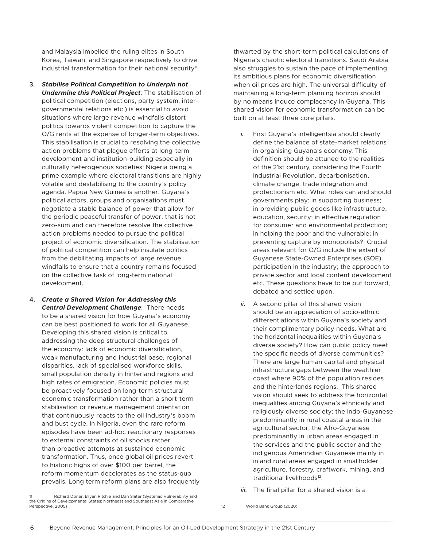and Malaysia impelled the ruling elites in South Korea, Taiwan, and Singapore respectively to drive industrial transformation for their national security<sup>11</sup>.

- **3.** *Stabilise Political Competition to Underpin not Undermine this Political Project*: The stabilisation of political competition (elections, party system, intergovernmental relations etc.) is essential to avoid situations where large revenue windfalls distort politics towards violent competition to capture the O/G rents at the expense of longer-term objectives. This stabilisation is crucial to resolving the collective action problems that plague efforts at long-term development and institution-building especially in culturally heterogenous societies: Nigeria being a prime example where electoral transitions are highly volatile and destabilising to the country's policy agenda. Papua New Guinea is another. Guyana's political actors, groups and organisations must negotiate a stable balance of power that allow for the periodic peaceful transfer of power, that is not zero-sum and can therefore resolve the collective action problems needed to pursue the political project of economic diversification. The stabilisation of political competition can help insulate politics from the debilitating impacts of large revenue windfalls to ensure that a country remains focused on the collective task of long-term national development.
- **4.** *Create a Shared Vision for Addressing this Central Development Challenge*: There needs to be a shared vision for how Guyana's economy can be best positioned to work for all Guyanese. Developing this shared vision is critical to addressing the deep structural challenges of the economy: lack of economic diversification, weak manufacturing and industrial base, regional disparities, lack of specialised workforce skills, small population density in hinterland regions and high rates of emigration. Economic policies must be proactively focused on long-term structural economic transformation rather than a short-term stabilisation or revenue management orientation that continuously reacts to the oil industry's boom and bust cycle. In Nigeria, even the rare reform episodes have been ad-hoc reactionary responses to external constraints of oil shocks rather than proactive attempts at sustained economic transformation. Thus, once global oil prices revert to historic highs of over \$100 per barrel, the reform momentum decelerates as the status-quo prevails. Long term reform plans are also frequently

thwarted by the short-term political calculations of Nigeria's chaotic electoral transitions. Saudi Arabia also struggles to sustain the pace of implementing its ambitious plans for economic diversification when oil prices are high. The universal difficulty of maintaining a long-term planning horizon should by no means induce complacency in Guyana. This shared vision for economic transformation can be built on at least three core pillars.

- *i.* First Guyana's intelligentsia should clearly define the balance of state-market relations in organising Guyana's economy. This definition should be attuned to the realities of the 21st century, considering the Fourth Industrial Revolution, decarbonisation, climate change, trade integration and protectionism etc. What roles can and should governments play: in supporting business; in providing public goods like infrastructure, education, security; in effective regulation for consumer and environmental protection; in helping the poor and the vulnerable; in preventing capture by monopolists? Crucial areas relevant for O/G include the extent of Guyanese State-Owned Enterprises (SOE) participation in the industry; the approach to private sector and local content development etc. These questions have to be put forward, debated and settled upon.
- *ii.* A second pillar of this shared vision should be an appreciation of socio-ethnic differentiations within Guyana's society and their complimentary policy needs. What are the horizontal inequalities within Guyana's diverse society? How can public policy meet the specific needs of diverse communities? There are large human capital and physical infrastructure gaps between the wealthier coast where 90% of the population resides and the hinterlands regions. This shared vision should seek to address the horizontal inequalities among Guyana's ethnically and religiously diverse society: the Indo-Guyanese predominantly in rural coastal areas in the agricultural sector; the Afro-Guyanese predominantly in urban areas engaged in the services and the public sector and the indigenous Amerindian Guyanese mainly in inland rural areas engaged in smallholder agriculture, forestry, craftwork, mining, and traditional livelihoods<sup>12</sup>.
- *iii.* The final pillar for a shared vision is a

12 World Bank Group (2020)

<sup>11</sup> Richard Doner, Bryan Ritchie and Dan Slater (Systemic Vulnerability and the Origins of Developmental States: Northeast and Southeast Asia in Comparative Perspective, 2005)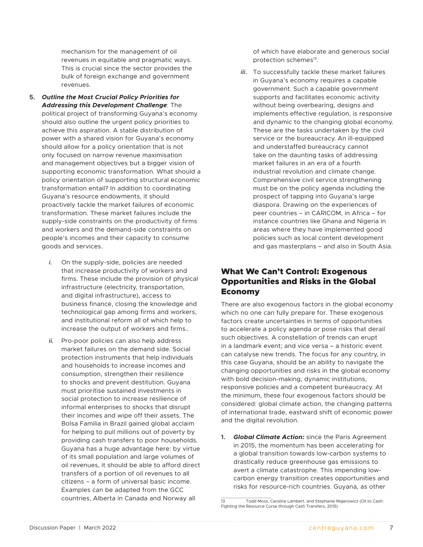<span id="page-10-0"></span>mechanism for the management of oil revenues in equitable and pragmatic ways. This is crucial since the sector provides the bulk of foreign exchange and government revenues.

- **5.** *Outline the Most Crucial Policy Priorities for Addressing this Development Challenge*: The political project of transforming Guyana's economy should also outline the urgent policy priorities to achieve this aspiration. A stable distribution of power with a shared vision for Guyana's economy should allow for a policy orientation that is not only focused on narrow revenue maximisation and management objectives but a bigger vision of supporting economic transformation. What should a policy orientation of supporting structural economic transformation entail? In addition to coordinating Guyana's resource endowments, it should proactively tackle the market failures of economic transformation. These market failures include the supply-side constraints on the productivity of firms and workers and the demand-side constraints on people's incomes and their capacity to consume goods and services.
	- *i.* On the supply-side, policies are needed that increase productivity of workers and firms. These include the provision of physical infrastructure (electricity, transportation, and digital infrastructure), access to business finance, closing the knowledge and technological gap among firms and workers, and institutional reform all of which help to increase the output of workers and firms..
	- *ii.* Pro-poor policies can also help address market failures on the demand side. Social protection instruments that help individuals and households to increase incomes and consumption, strengthen their resilience to shocks and prevent destitution. Guyana must prioritise sustained investments in social protection to increase resilience of informal enterprises to shocks that disrupt their incomes and wipe off their assets. The Bolsa Familia in Brazil gained global acclaim for helping to pull millions out of poverty by providing cash transfers to poor households. Guyana has a huge advantage here: by virtue of its small population and large volumes of oil revenues, it should be able to afford direct transfers of a portion of oil revenues to all citizens – a form of universal basic income. Examples can be adapted from the GCC countries, Alberta in Canada and Norway all

of which have elaborate and generous social protection schemes<sup>13</sup>.

*iii.* To successfully tackle these market failures in Guyana's economy requires a capable government. Such a capable government supports and facilitates economic activity without being overbearing, designs and implements effective regulation, is responsive and dynamic to the changing global economy. These are the tasks undertaken by the civil service or the bureaucracy. An ill-equipped and understaffed bureaucracy cannot take on the daunting tasks of addressing market failures in an era of a fourth industrial revolution and climate change. Comprehensive civil service strengthening must be on the policy agenda including the prospect of tapping into Guyana's large diaspora. Drawing on the experiences of peer countries – in CARICOM, in Africa – for instance countries like Ghana and Nigeria in areas where they have implemented good policies such as local content development and gas masterplans – and also in South Asia.

#### What We Can't Control: Exogenous Opportunities and Risks in the Global Economy

There are also exogenous factors in the global economy which no one can fully prepare for. These exogenous factors create uncertainties in terms of opportunities to accelerate a policy agenda or pose risks that derail such objectives. A constellation of trends can erupt in a landmark event; and vice versa – a historic event can catalyse new trends. The focus for any country, in this case Guyana, should be an ability to navigate the changing opportunities and risks in the global economy with bold decision-making, dynamic institutions, responsive policies and a competent bureaucracy. At the minimum, these four exogenous factors should be considered: global climate action, the changing patterns of international trade, eastward shift of economic power and the digital revolution.

**1.** *Global Climate Action:* since the Paris Agreement in 2015, the momentum has been accelerating for a global transition towards low-carbon systems to drastically reduce greenhouse gas emissions to avert a climate catastrophe. This impending lowcarbon energy transition creates opportunities and risks for resource-rich countries. Guyana, as other

Todd Moss, Caroline Lambert, and Stephanie Majerowicz (Oil to Cash: Fighting the Resource Curse through Cash Transfers, 2015)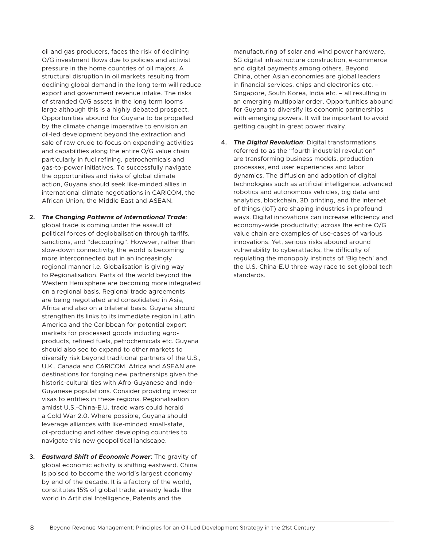oil and gas producers, faces the risk of declining O/G investment flows due to policies and activist pressure in the home countries of oil majors. A structural disruption in oil markets resulting from declining global demand in the long term will reduce export and government revenue intake. The risks of stranded O/G assets in the long term looms large although this is a highly debated prospect. Opportunities abound for Guyana to be propelled by the climate change imperative to envision an oil-led development beyond the extraction and sale of raw crude to focus on expanding activities and capabilities along the entire O/G value chain particularly in fuel refining, petrochemicals and gas-to-power initiatives. To successfully navigate the opportunities and risks of global climate action, Guyana should seek like-minded allies in international climate negotiations in CARICOM, the African Union, the Middle East and ASEAN.

- **2.** *The Changing Patterns of International Trade*: global trade is coming under the assault of political forces of deglobalisation through tariffs, sanctions, and "decoupling". However, rather than slow-down connectivity, the world is becoming more interconnected but in an increasingly regional manner i.e. Globalisation is giving way to Regionalisation. Parts of the world beyond the Western Hemisphere are becoming more integrated on a regional basis. Regional trade agreements are being negotiated and consolidated in Asia, Africa and also on a bilateral basis. Guyana should strengthen its links to its immediate region in Latin America and the Caribbean for potential export markets for processed goods including agroproducts, refined fuels, petrochemicals etc. Guyana should also see to expand to other markets to diversify risk beyond traditional partners of the U.S., U.K., Canada and CARICOM. Africa and ASEAN are destinations for forging new partnerships given the historic-cultural ties with Afro-Guyanese and Indo-Guyanese populations. Consider providing investor visas to entities in these regions. Regionalisation amidst U.S.-China-E.U. trade wars could herald a Cold War 2.0. Where possible, Guyana should leverage alliances with like-minded small-state, oil-producing and other developing countries to navigate this new geopolitical landscape.
- **3.** *Eastward Shift of Economic Power*: The gravity of global economic activity is shifting eastward. China is poised to become the world's largest economy by end of the decade. It is a factory of the world, constitutes 15% of global trade, already leads the world in Artificial Intelligence, Patents and the

manufacturing of solar and wind power hardware, 5G digital infrastructure construction, e-commerce and digital payments among others. Beyond China, other Asian economies are global leaders in financial services, chips and electronics etc. – Singapore, South Korea, India etc. – all resulting in an emerging multipolar order. Opportunities abound for Guyana to diversify its economic partnerships with emerging powers. It will be important to avoid getting caught in great power rivalry.

**4.** *The Digital Revolution*: Digital transformations referred to as the "fourth industrial revolution" are transforming business models, production processes, end user experiences and labor dynamics. The diffusion and adoption of digital technologies such as artificial intelligence, advanced robotics and autonomous vehicles, big data and analytics, blockchain, 3D printing, and the internet of things (IoT) are shaping industries in profound ways. Digital innovations can increase efficiency and economy-wide productivity; across the entire O/G value chain are examples of use-cases of various innovations. Yet, serious risks abound around vulnerability to cyberattacks, the difficulty of regulating the monopoly instincts of 'Big tech' and the U.S.-China-E.U three-way race to set global tech standards.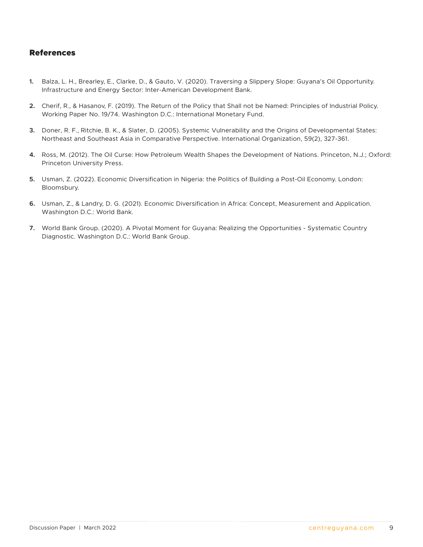#### <span id="page-12-0"></span>References

- **1.** Balza, L. H., Brearley, E., Clarke, D., & Gauto, V. (2020). Traversing a Slippery Slope: Guyana's Oil Opportunity. Infrastructure and Energy Sector: Inter-American Development Bank.
- **2.** Cherif, R., & Hasanov, F. (2019). The Return of the Policy that Shall not be Named: Principles of Industrial Policy. Working Paper No. 19/74. Washington D.C.: International Monetary Fund.
- **3.** Doner, R. F., Ritchie, B. K., & Slater, D. (2005). Systemic Vulnerability and the Origins of Developmental States: Northeast and Southeast Asia in Comparative Perspective. International Organization, 59(2), 327-361.
- **4.** Ross, M. (2012). The Oil Curse: How Petroleum Wealth Shapes the Development of Nations. Princeton, N.J.; Oxford: Princeton University Press.
- **5.** Usman, Z. (2022). Economic Diversification in Nigeria: the Politics of Building a Post-Oil Economy. London: Bloomsbury.
- **6.** Usman, Z., & Landry, D. G. (2021). Economic Diversification in Africa: Concept, Measurement and Application. Washington D.C.: World Bank.
- **7.** World Bank Group. (2020). A Pivotal Moment for Guyana: Realizing the Opportunities Systematic Country Diagnostic. Washington D.C.: World Bank Group.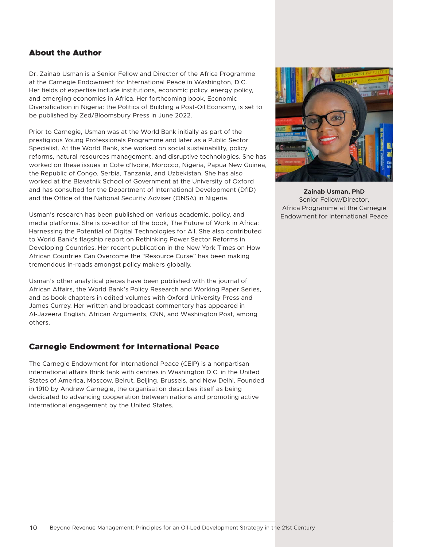#### <span id="page-13-0"></span>About the Author

Dr. Zainab Usman is a Senior Fellow and Director of the Africa Programme at the Carnegie Endowment for International Peace in Washington, D.C. Her fields of expertise include institutions, economic policy, energy policy, and emerging economies in Africa. Her forthcoming book, Economic Diversification in Nigeria: the Politics of Building a Post-Oil Economy, is set to be published by Zed/Bloomsbury Press in June 2022.

Prior to Carnegie, Usman was at the World Bank initially as part of the prestigious Young Professionals Programme and later as a Public Sector Specialist. At the World Bank, she worked on social sustainability, policy reforms, natural resources management, and disruptive technologies. She has worked on these issues in Cote d'Ivoire, Morocco, Nigeria, Papua New Guinea, the Republic of Congo, Serbia, Tanzania, and Uzbekistan. She has also worked at the Blavatnik School of Government at the University of Oxford and has consulted for the Department of International Development (DfID) and the Office of the National Security Adviser (ONSA) in Nigeria.

Usman's research has been published on various academic, policy, and media platforms. She is co-editor of the book, The Future of Work in Africa: Harnessing the Potential of Digital Technologies for All. She also contributed to World Bank's flagship report on Rethinking Power Sector Reforms in Developing Countries. Her recent publication in the New York Times on How African Countries Can Overcome the "Resource Curse" has been making tremendous in-roads amongst policy makers globally.

Usman's other analytical pieces have been published with the journal of African Affairs, the World Bank's Policy Research and Working Paper Series, and as book chapters in edited volumes with Oxford University Press and James Currey. Her written and broadcast commentary has appeared in Al-Jazeera English, African Arguments, CNN, and Washington Post, among others.

#### Carnegie Endowment for International Peace

The Carnegie Endowment for International Peace (CEIP) is a nonpartisan international affairs think tank with centres in Washington D.C. in the United States of America, Moscow, Beirut, Beijing, Brussels, and New Delhi. Founded in 1910 by Andrew Carnegie, the organisation describes itself as being dedicated to advancing cooperation between nations and promoting active international engagement by the United States.



**Zainab Usman, PhD** Senior Fellow/Director, Africa Programme at the Carnegie Endowment for International Peace